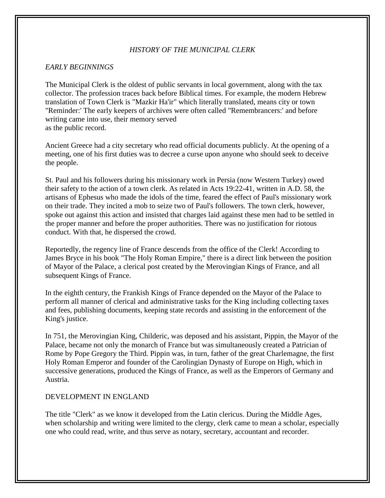# *HISTORY OF THE MUNICIPAL CLERK*

### *EARLY BEGINNINGS*

The Municipal Clerk is the oldest of public servants in local government, along with the tax collector. The profession traces back before Biblical times. For example, the modern Hebrew translation of Town Clerk is "Mazkir Ha'ir" which literally translated, means city or town "Reminder:' The early keepers of archives were often called "Remembrancers:' and before writing came into use, their memory served as the public record.

Ancient Greece had a city secretary who read official documents publicly. At the opening of a meeting, one of his first duties was to decree a curse upon anyone who should seek to deceive the people.

St. Paul and his followers during his missionary work in Persia (now Western Turkey) owed their safety to the action of a town clerk. As related in Acts 19:22-41, written in A.D. 58, the artisans of Ephesus who made the idols of the time, feared the effect of Paul's missionary work on their trade. They incited a mob to seize two of Paul's followers. The town clerk, however, spoke out against this action and insisted that charges laid against these men had to be settled in the proper manner and before the proper authorities. There was no justification for riotous conduct. With that, he dispersed the crowd.

Reportedly, the regency line of France descends from the office of the Clerk! According to James Bryce in his book "The Holy Roman Empire," there is a direct link between the position of Mayor of the Palace, a clerical post created by the Merovingian Kings of France, and all subsequent Kings of France.

In the eighth century, the Frankish Kings of France depended on the Mayor of the Palace to perform all manner of clerical and administrative tasks for the King including collecting taxes and fees, publishing documents, keeping state records and assisting in the enforcement of the King's justice.

In 751, the Merovingian King, Childeric, was deposed and his assistant, Pippin, the Mayor of the Palace, became not only the monarch of France but was simultaneously created a Patrician of Rome by Pope Gregory the Third. Pippin was, in turn, father of the great Charlemagne, the first Holy Roman Emperor and founder of the Carolingian Dynasty of Europe on High, which in successive generations, produced the Kings of France, as well as the Emperors of Germany and Austria.

#### DEVELOPMENT IN ENGLAND

The title "Clerk" as we know it developed from the Latin clericus. During the Middle Ages, when scholarship and writing were limited to the clergy, clerk came to mean a scholar, especially one who could read, write, and thus serve as notary, secretary, accountant and recorder.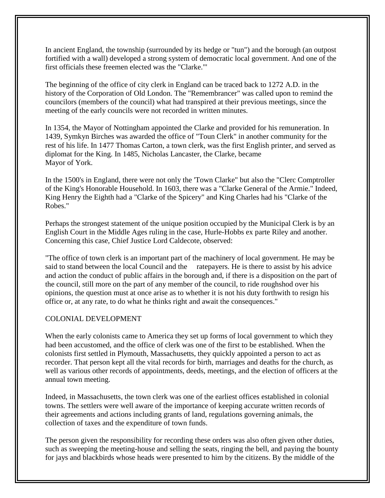In ancient England, the township (surrounded by its hedge or "tun") and the borough (an outpost fortified with a wall) developed a strong system of democratic local government. And one of the first officials these freemen elected was the "Clarke."'

The beginning of the office of city clerk in England can be traced back to 1272 A.D. in the history of the Corporation of Old London. The "Remembrancer" was called upon to remind the councilors (members of the council) what had transpired at their previous meetings, since the meeting of the early councils were not recorded in written minutes.

In 1354, the Mayor of Nottingham appointed the Clarke and provided for his remuneration. In 1439, Symkyn Birches was awarded the office of "Toun Clerk" in another community for the rest of his life. In 1477 Thomas Carton, a town clerk, was the first English printer, and served as diplomat for the King. In 1485, Nicholas Lancaster, the Clarke, became Mayor of York.

In the 1500's in England, there were not only the 'Town Clarke" but also the "Clerc Comptroller of the King's Honorable Household. In 1603, there was a "Clarke General of the Armie." Indeed, King Henry the Eighth had a "Clarke of the Spicery" and King Charles had his "Clarke of the Robes."

Perhaps the strongest statement of the unique position occupied by the Municipal Clerk is by an English Court in the Middle Ages ruling in the case, Hurle-Hobbs ex parte Riley and another. Concerning this case, Chief Justice Lord Caldecote, observed:

"The office of town clerk is an important part of the machinery of local government. He may be said to stand between the local Council and the ratepayers. He is there to assist by his advice and action the conduct of public affairs in the borough and, if there is a disposition on the part of the council, still more on the part of any member of the council, to ride roughshod over his opinions, the question must at once arise as to whether it is not his duty forthwith to resign his office or, at any rate, to do what he thinks right and await the consequences."

# COLONIAL DEVELOPMENT

When the early colonists came to America they set up forms of local government to which they had been accustomed, and the office of clerk was one of the first to be established. When the colonists first settled in Plymouth, Massachusetts, they quickly appointed a person to act as recorder. That person kept all the vital records for birth, marriages and deaths for the church, as well as various other records of appointments, deeds, meetings, and the election of officers at the annual town meeting.

Indeed, in Massachusetts, the town clerk was one of the earliest offices established in colonial towns. The settlers were well aware of the importance of keeping accurate written records of their agreements and actions including grants of land, regulations governing animals, the collection of taxes and the expenditure of town funds.

The person given the responsibility for recording these orders was also often given other duties, such as sweeping the meeting-house and selling the seats, ringing the bell, and paying the bounty for jays and blackbirds whose heads were presented to him by the citizens. By the middle of the